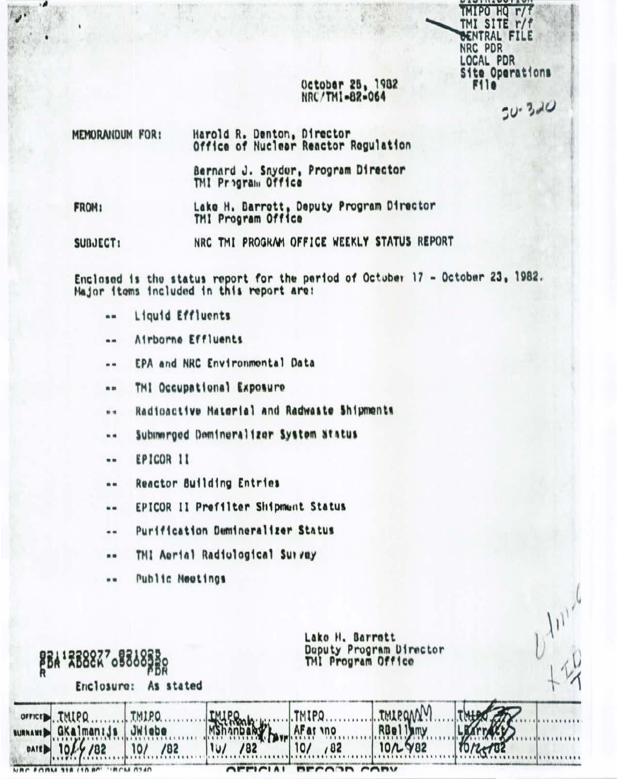### October 25, 1982 NRC/TM1-82-064

TMIPO HQ r/f TMI SITE r/f BENTRAL FILE

**Site Operations** 

 $50 - 320$ 

NRC PDR LOCAL PDR

**F11e** 

MEMORANDUM FOR: Harold R. Denton, Director Office of Nuclear Reactor Regulation Bernard J. Snyder, Program Director TMI Program Office Lake H. Barrott, Deputy Program Director FROM:

TMI Program Office

NRC TMI PROGRAM OFFICE WEEKLY STATUS REPORT SUBJECT:

Enclosed is the status report for the period of October 17 - October 23, 1982. Major items included in this report are:

- Liquid Effluents  $\blacksquare$
- Airborne Effluents  $\blacksquare$
- EPA and NRC Environmental Data  $\bullet$
- TMI Occupational Exposure **m** 28
- Radioactive Material and Radwaste Shipments  $...$
- Submerged Domineralizer System Status  $n n$
- EPICOR 11  $\blacksquare$
- **Reactor Building Entries**  $\blacksquare$
- EPICOR II Prefilter Shipmunt Status  $\cdots$
- Purification Demineralizer Status ..
- TMI Aerial Radiological Survey ..
- Public Meetings  $...$

| <b>BBA' RB8827 08868380</b><br>Enclosure:<br>As stated |                                                        |                        | Lako H. Barrott<br>Doputy Program Director<br>TMI Program Office |                        |                     |  |  |
|--------------------------------------------------------|--------------------------------------------------------|------------------------|------------------------------------------------------------------|------------------------|---------------------|--|--|
| DATE 101                                               | orricr.,TMIPQ<br>summawr B GKalman: js JWiebe<br>.9/82 | I TMIPO.<br>/82<br>10/ | /82<br>1U                                                        | AFar vno<br>182<br>10/ | RBelliny<br>10/2982 |  |  |
| NAC FORM SIR                                           |                                                        |                        | CFT1C1A1                                                         | BECA3B CABY            |                     |  |  |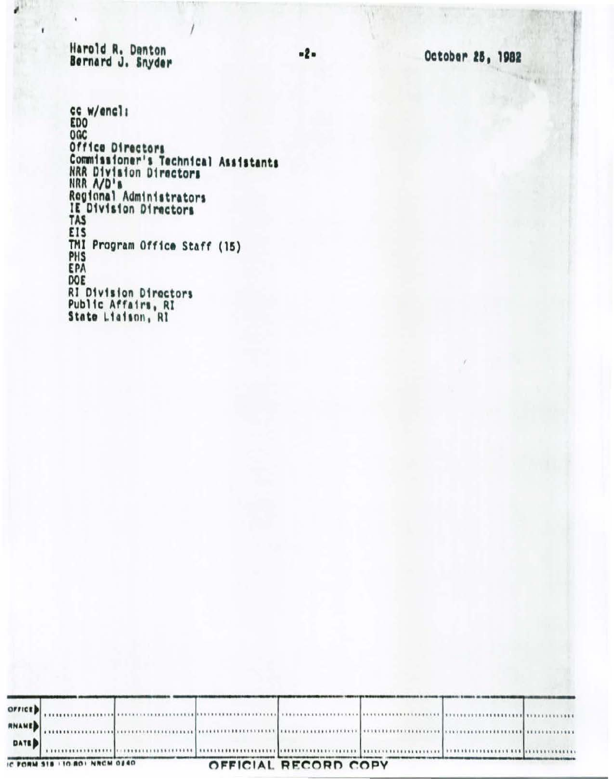Harold R. Denton<br>Bernard J. Snyder

¥

 $\mathcal{L}^{\pm}$ 

 $\lambda$ 

October 25, 1982

cc w/encl:<br>EDO NGC<br>
Office Directors<br>
Commissioner's Technical Assistants<br>
NRR Division Directors<br>
NRR A/D's<br>
Regional Administrators<br>
Technical Administrators IE Division Directors **EIS** TMI Program Office Staff (15) PHS EPA DOE **RI Division Directors** Public Affairs, RI<br>State Liaison, RI

|        | IC FORM SIB I 10-801 NRCM 0240 |  | OFFICIAL RECORD COPY |  |  |  |  |
|--------|--------------------------------|--|----------------------|--|--|--|--|
| DATE D |                                |  |                      |  |  |  |  |
| RNAME  |                                |  |                      |  |  |  |  |
| OFFICE |                                |  |                      |  |  |  |  |

 $-2-$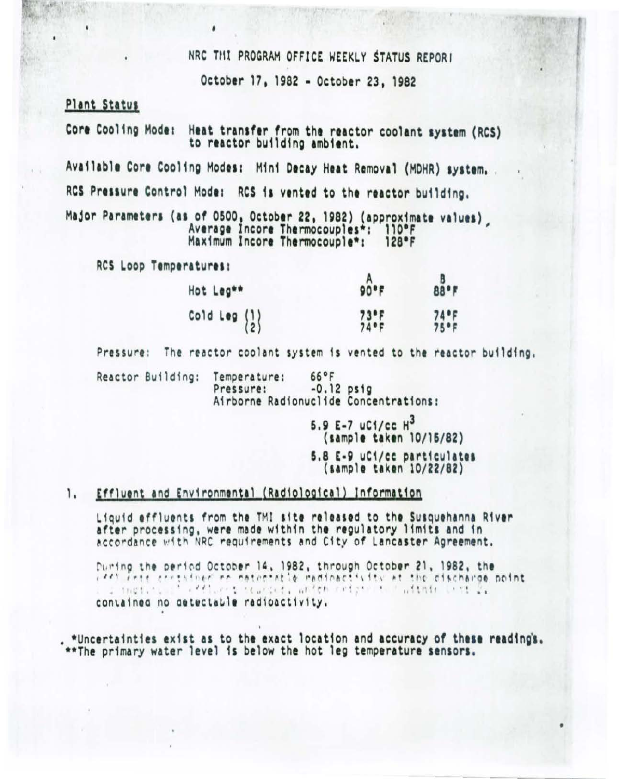NRC THI PROGRAM OFFICE WEEKLY STATUS REPORT

October 17, 1982 - October 23, 1982

# Plant Status

Heat transfer from the reactor coolant system (RCS) Core Cooling Mode: to reactor building ambient.

Available Core Cooling Modes: Mini Decay Heat Removal (MDHR) system. RCS Pressure Control Mode: RCS is vented to the reactor building.

Major Parameters (as of 0500, October 22, 1982) (approximate values) Average Incore Thermocouples\*: 110°F Maximum Incore Thermocouple\*: 128°F

RCS Loop Temperatures:

| Hot Leg**                                       | $90-F$           | 88°F                        |
|-------------------------------------------------|------------------|-----------------------------|
| Cold Leg $\begin{Bmatrix} 1 \\ 2 \end{Bmatrix}$ | $73°F$<br>$74°F$ | $74$ <sup>o</sup> F<br>75°F |

Pressure: The reactor coolant system is vented to the reactor building.

 $66°F$ Reactor Building: Temperature:  $-0.12$  psig Pressure: Airborne Radionuclide Concentrations:

> 5.9 E-7 uC1/cc  $H^3$ (sample taken 10/15/82) 5.8 E-9 uCi/cc particulates (sample taken 10/22/82)

### 1. Effluent and Environmental (Radiological) Information

Liquid effluents from the TMI site released to the Susquehanna River after processing, were made within the regulatory limits and in accordance with NRC requirements and City of Lancaster Agreement.

During the period October 14, 1982, through October 21, 1982, the cast free cressiner no notenetic medicactivity at the cischargo point. . I metit. I cefters starbet, ander reight to haddnin list 2. contained no detectable radioactivity.

\*Uncertainties exist as to the exact location and accuracy of these readings. \*\*The primary water level is below the hot leg temperature sensors.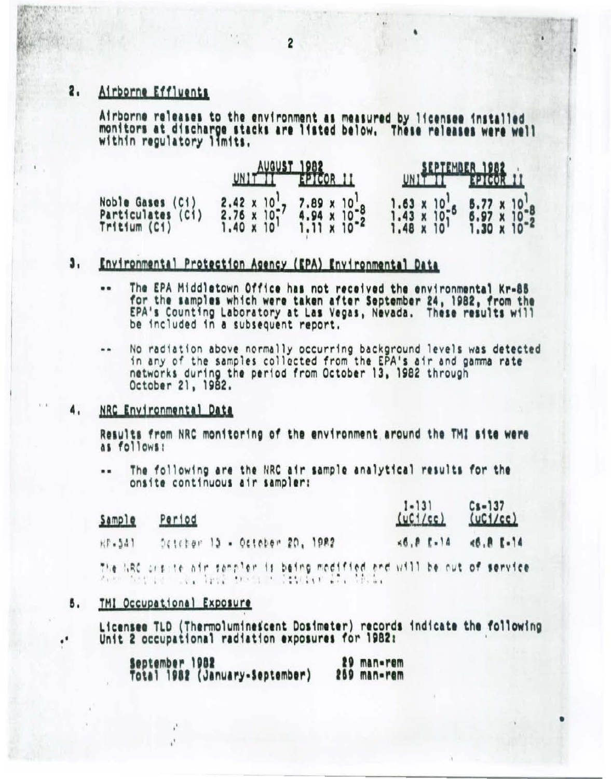### 2. Airborne Effluents

Airborne releases to the environment as measured by licensee installed monitors at discharge stacks are listed below. These releases were well within regulatory limits.

|                                                       | UNIT PERSON II                                                                                                        | SEPTEMBER 1982<br>UNITED TO THE PICOR H                                                                                                                                        |  |  |
|-------------------------------------------------------|-----------------------------------------------------------------------------------------------------------------------|--------------------------------------------------------------------------------------------------------------------------------------------------------------------------------|--|--|
| Noble Gases (Ci)<br>Particulates (C1)<br>Tritium (C1) | $2.42 \times 10^{1}$<br>$2.76 \times 10^{1}$<br>$2.76 \times 10^{1}$<br>$1.40 \times 10^{1}$<br>$1.11 \times 10^{-2}$ | 1.63 x 10 <sup>1</sup> <sub>6</sub> 5.77 x 10 <sup>1</sup> <sub>8</sub><br>1.43 x 10 <sup>1</sup> 6 6.97 x 10 <sup>1</sup> 8<br>1.48 x 10 <sup>1</sup> 1.30 x 10 <sup>-2</sup> |  |  |

### J, Environmental Protection Agency (EPA) Environmental Data

- The EPA Middletown Office has not received the environmental Kr-85  $\blacksquare$ for the samples which were taken after September 24, 1982, from the<br>EPA's Counting Laboratory at Las Vegas, Nevada. These results will be included in a subsequent report.
- $\ddot{\phantom{a}}$ No radiation above normally occurring background levels was detected in any of the samples collected from the EPA's air and gamma rate networks during the period from October 13, 1982 through<br>October 21, 1982.

#### NRC Environmental Data 4,

Results from NRC monitoring of the environment around the TMI site were as follows:

The following are the NRC air sample analytical results for the .. onsite continuous air sampler:

| Sample    | Period                                                                                                                       | $\frac{1-131}{(uC1/cc)}$ $\frac{Cs-137}{(uC1/cc)}$ |              |
|-----------|------------------------------------------------------------------------------------------------------------------------------|----------------------------------------------------|--------------|
| $15 - 54$ | Deteber 15 - October 20, 1982                                                                                                | $56.8$ $5-14$                                      | $46.8$ $-14$ |
|           | The NRC craste air sampler is being modified and will be out of service.<br>When hotels are also there is developed in their |                                                    |              |

#### 5. TMI Occupational Exposure

Licensee TLD (Thermoluminescent Dosimeter) records indicate the following Unit 2 occupational radiation exposures for 1982:

|                                                  | 29 man-rem  |
|--------------------------------------------------|-------------|
| September 1982<br>Total 1982 (January-September) | 259 man-rem |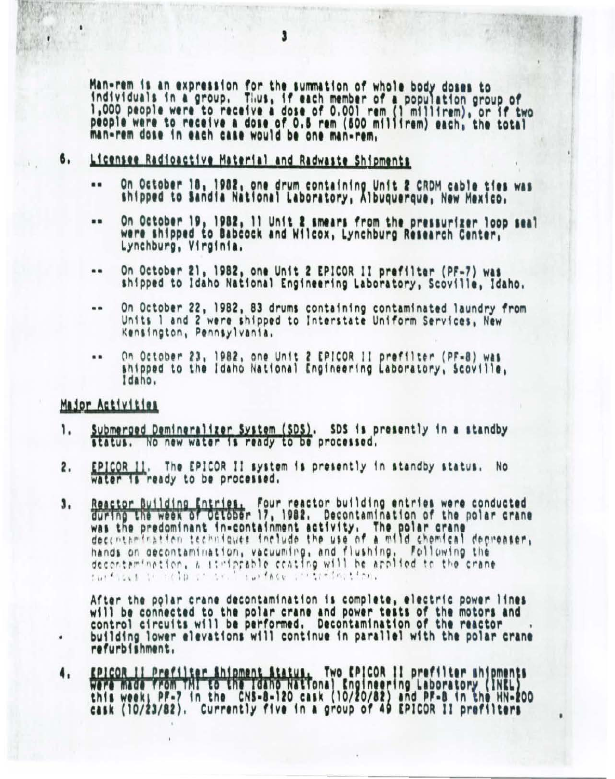Man-rem is an expression for the summation of whole body doses to individuals in a group. Thus, if each member of a population group of<br>1,000 people were to receive a dose of 0.001 rem (1 millirem), or if two<br>people were to receive a dose of 0.5 rem (500 millirem) each, the total man-rem dose in each case would be one man-rem.

### Licensee Radioactive Material and Radwaste Shipments 6.

- On October 18, 1982, one drum containing Unit 2 CRDM cable ties was  $\bullet$ shipped to Sandia National Laboratory, Albuquerque, New Mexico.
- On October 19, 1982, 11 Unit 2 smears from the pressurizer loop seal  $\blacksquare$ were shipped to Babcock and Wilcox, Lynchburg Research Center, Lynchburg, Virginia.
- On October 21, 1982, one Unit 2 EPICOR II prefilter (PF-7) was  $\ddot{\phantom{a}}$ shipped to Idaho National Engineering Laboratory, Scoville, Idaho.
- On October 22, 1982, 83 drums containing contaminated laundry from .. Units 1 and 2 were shipped to Interstate Uniform Services, New Kensington, Pennsylvania,
- On October 23, 1982, one Unit 2 EPICOR II prefilter (PF=8) was  $\cdots$ shipped to the Idaho National Engineering Laboratory, Scoville, Idaho.

# Major Activities

٠

- Submerged Demineralizer System (SDS). SDS is presently in a standby<br>status. No new water is ready to be processed. ۱.
- EPICOR II. The EPICOR II system is presently in standby status. No 2. water is ready to be processed.
- Reactor Building Entries. Four reactor building entries were conducted<br>during the week of October 17, 1982. Decontamination of the polar crane 3. was the predominant in-containment activity. The polar crane decementer, hands on decontamination, vacuuming, and flushing, Following the decontamination, a itmiprable coating will be applied to the crane.<br>furthers in rain of the contract contraction.

After the polar crane decontamination is complete, electric power lines will be connected to the polar crane and power tests of the motors and control circuits will be performed. Decontamination of the reactor building lower elevations will continue in parallel with the polar crane refurbishment.

FPICOR II Prefilter Shipment Status, Two EPICOR II prefilter shipments<br>Were made from TMI to the Idaho National Engineering Laboratory (INEL)<br>this week, PF-7 in the CNS-8-120 cask (10/20/82) and PF-8 in the HN-200<br>cask (10 4.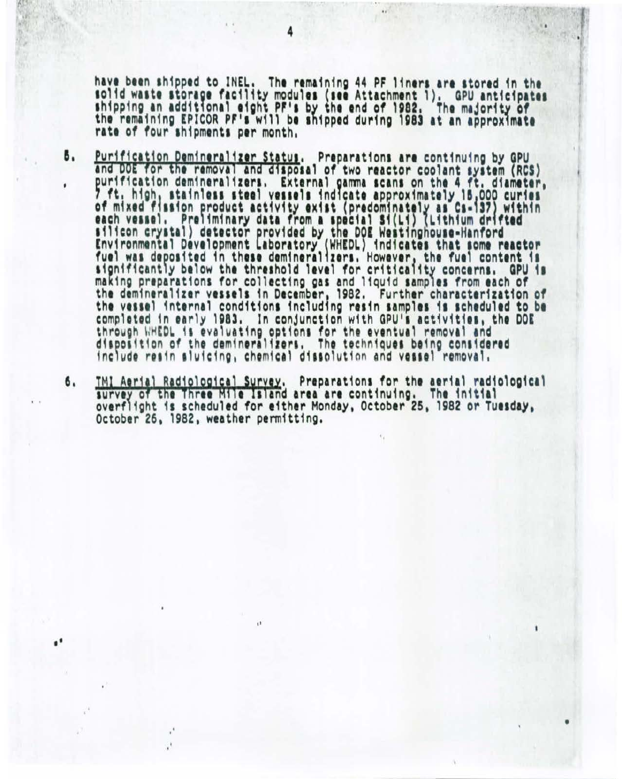have been shipped to INEL. The remaining 44 PF liners are stored in the solid waste storage facility modules (see Attachment 1). GPU anticipates<br>shipping an additional eight PF's by the end of 1982. The majority of the remaining EPICOR PF's will be shipped during 1983 at an approximate rate of four shipments per month.

- Purification Demineralizer Status. Preparations are continuing by GPU В. and DOE for the removal and disposal of two reactor coolant system (RCS) purification demineralizers. External gamma scans on the 4 ft. diameter,<br>7 ft. high, stainless steel vessels indicate approximately 15,000 curies<br>of mixed fission product activity exist (predominately as Cs-137) within<br>eac significantly below the threshold level for criticality concerns. GPU is making preparations for collecting gas and liquid samples from each of the demineralizer vessels in December, 1982. Further characterization of the vessel internal conditions including resin samples is scheduled to be completed in early 1983. In conjunction with GPU's activities, the DOE through WHEDL is evaluating options for the eventual removal and disposition of the demineralizers. The techniques being considered include resin sluicing, chemical dissolution and vessel removal.
- TMI Aerial Radiological Survey. Preparations for the aerial radiological 6. survey of the Three Mile Island area are continuing. The initial overflight is scheduled for either Monday, October 25, 1982 or Tuesday, October 26, 1982, weather permitting.

ü